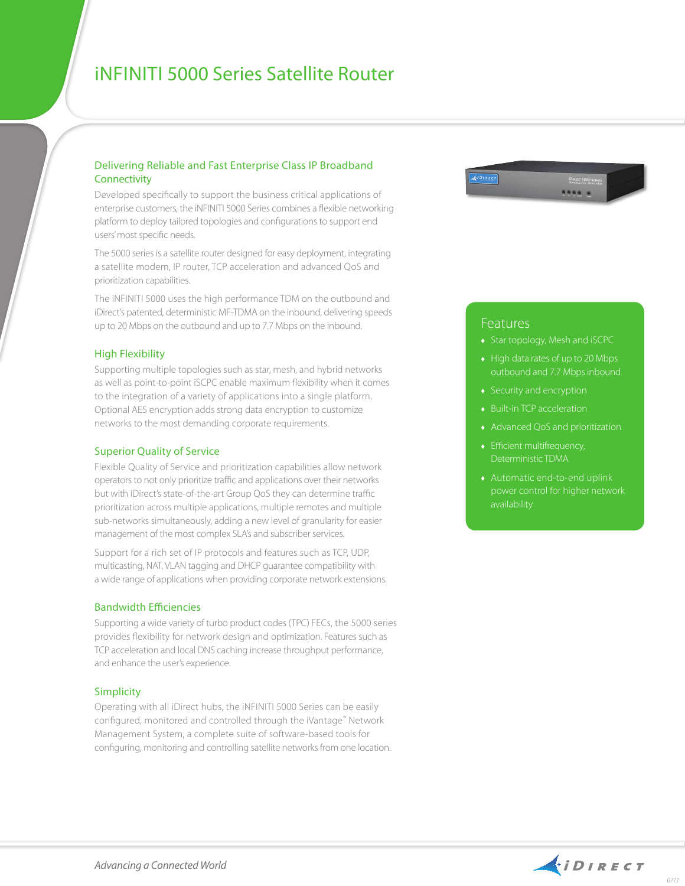# iNFINITI 5000 Series Satellite Router

### Delivering Reliable and Fast Enterprise Class IP Broadband **Connectivity**

Developed specifically to support the business critical applications of enterprise customers, the iNFINITI 5000 Series combines a flexible networking platform to deploy tailored topologies and configurations to support end users' most specific needs.

The 5000 series is a satellite router designed for easy deployment, integrating a satellite modem, IP router, TCP acceleration and advanced QoS and prioritization capabilities.

The iNFINITI 5000 uses the high performance TDM on the outbound and iDirect's patented, deterministic MF-TDMA on the inbound, delivering speeds up to 20 Mbps on the outbound and up to 7.7 Mbps on the inbound.

#### High Flexibility

Supporting multiple topologies such as star, mesh, and hybrid networks as well as point-to-point iSCPC enable maximum flexibility when it comes to the integration of a variety of applications into a single platform. Optional AES encryption adds strong data encryption to customize networks to the most demanding corporate requirements.

#### Superior Quality of Service

Flexible Quality of Service and prioritization capabilities allow network operators to not only prioritize traffic and applications over their networks but with iDirect's state-of-the-art Group QoS they can determine traffic prioritization across multiple applications, multiple remotes and multiple sub-networks simultaneously, adding a new level of granularity for easier management of the most complex SLA's and subscriber services.

Support for a rich set of IP protocols and features such as TCP, UDP, multicasting, NAT, VLAN tagging and DHCP guarantee compatibility with a wide range of applications when providing corporate network extensions.

#### Bandwidth Efficiencies

Supporting a wide variety of turbo product codes (TPC) FECs, the 5000 series provides flexibility for network design and optimization. Features such as TCP acceleration and local DNS caching increase throughput performance, and enhance the user's experience.

#### Simplicity

Operating with all iDirect hubs, the iNFINITI 5000 Series can be easily configured, monitored and controlled through the iVantage™ Network Management System, a complete suite of software-based tools for configuring, monitoring and controlling satellite networks from one location.



## Features

- ♦ Star topology, Mesh and iSCPC
- $\leftrightarrow$  High data rates of up to 20 Mbps outbound and 7.7 Mbps inbound
- ♦ Security and encryption
- ♦ Built-in TCP acceleration
- ♦ Advanced QoS and prioritization
- ♦ Efficient multifrequency, Deterministic TDMA
- ♦ Automatic end-to-end uplink